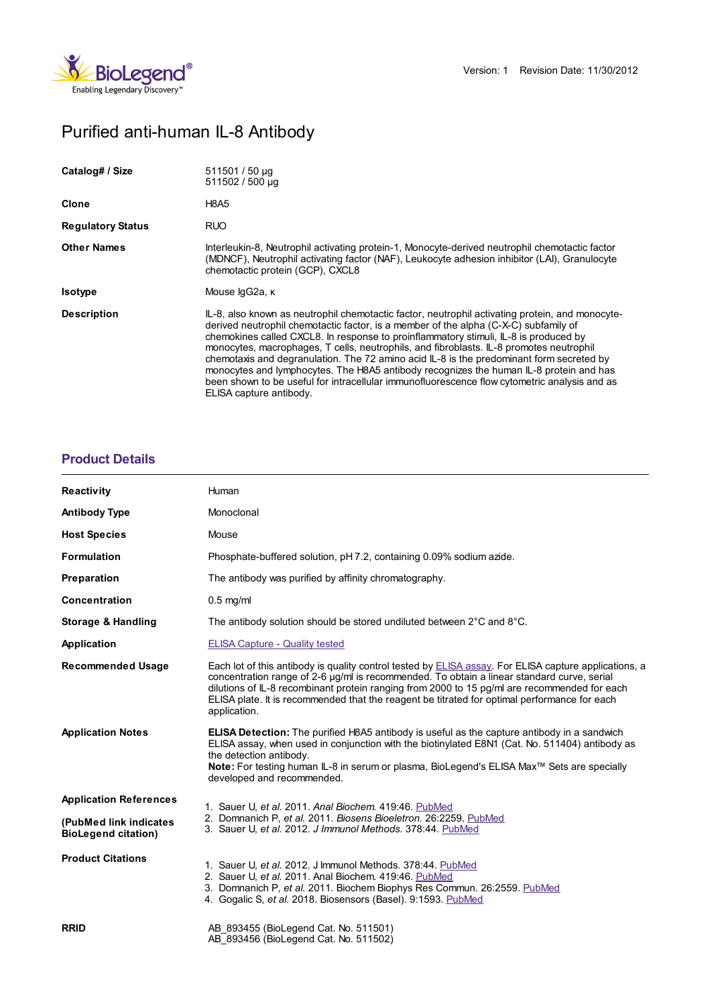

# Purified anti-human IL-8 Antibody

| Catalog# / Size          | 511501 / 50 µg<br>511502 / 500 µg                                                                                                                                                                                                                                                                                                                                                                                                                                                                                                                                                                                                                                                           |
|--------------------------|---------------------------------------------------------------------------------------------------------------------------------------------------------------------------------------------------------------------------------------------------------------------------------------------------------------------------------------------------------------------------------------------------------------------------------------------------------------------------------------------------------------------------------------------------------------------------------------------------------------------------------------------------------------------------------------------|
| Clone                    | <b>H8A5</b>                                                                                                                                                                                                                                                                                                                                                                                                                                                                                                                                                                                                                                                                                 |
| <b>Regulatory Status</b> | <b>RUO</b>                                                                                                                                                                                                                                                                                                                                                                                                                                                                                                                                                                                                                                                                                  |
| <b>Other Names</b>       | Interleukin-8, Neutrophil activating protein-1, Monocyte-derived neutrophil chemotactic factor<br>(MDNCF), Neutrophil activating factor (NAF), Leukocyte adhesion inhibitor (LAI), Granulocyte<br>chemotactic protein (GCP), CXCL8                                                                                                                                                                                                                                                                                                                                                                                                                                                          |
| <b>Isotype</b>           | Mouse lgG2a, к                                                                                                                                                                                                                                                                                                                                                                                                                                                                                                                                                                                                                                                                              |
| <b>Description</b>       | IL-8, also known as neutrophil chemotactic factor, neutrophil activating protein, and monocyte-<br>derived neutrophil chemotactic factor, is a member of the alpha (C-X-C) subfamily of<br>chemokines called CXCL8. In response to proinflammatory stimuli, IL-8 is produced by<br>monocytes, macrophages, T cells, neutrophils, and fibroblasts. IL-8 promotes neutrophil<br>chemotaxis and degranulation. The 72 amino acid IL-8 is the predominant form secreted by<br>monocytes and lymphocytes. The H8A5 antibody recognizes the human IL-8 protein and has<br>been shown to be useful for intracellular immunofluorescence flow cytometric analysis and as<br>ELISA capture antibody. |

# **[Product](https://www.biolegend.com/en-gb/products/purified-anti-human-il-8-antibody-4135?pdf=true&displayInline=true&leftRightMargin=15&topBottomMargin=15&filename=Purified anti-human IL-8 Antibody.pdf#productDetails) Details**

| <b>Reactivity</b>                                    | Human                                                                                                                                                                                                                                                                                                                                                                                                                      |
|------------------------------------------------------|----------------------------------------------------------------------------------------------------------------------------------------------------------------------------------------------------------------------------------------------------------------------------------------------------------------------------------------------------------------------------------------------------------------------------|
| <b>Antibody Type</b>                                 | Monoclonal                                                                                                                                                                                                                                                                                                                                                                                                                 |
| <b>Host Species</b>                                  | Mouse                                                                                                                                                                                                                                                                                                                                                                                                                      |
| Formulation                                          | Phosphate-buffered solution, pH 7.2, containing 0.09% sodium azide.                                                                                                                                                                                                                                                                                                                                                        |
| Preparation                                          | The antibody was purified by affinity chromatography.                                                                                                                                                                                                                                                                                                                                                                      |
| <b>Concentration</b>                                 | $0.5$ mg/ml                                                                                                                                                                                                                                                                                                                                                                                                                |
| Storage & Handling                                   | The antibody solution should be stored undiluted between $2^{\circ}$ C and $8^{\circ}$ C.                                                                                                                                                                                                                                                                                                                                  |
| Application                                          | <b>ELISA Capture - Quality tested</b>                                                                                                                                                                                                                                                                                                                                                                                      |
| <b>Recommended Usage</b>                             | Each lot of this antibody is quality control tested by <b>ELISA</b> assay. For ELISA capture applications, a<br>concentration range of 2-6 µg/ml is recommended. To obtain a linear standard curve, serial<br>dilutions of IL-8 recombinant protein ranging from 2000 to 15 pg/ml are recommended for each<br>ELISA plate. It is recommended that the reagent be titrated for optimal performance for each<br>application. |
| <b>Application Notes</b>                             | <b>ELISA Detection:</b> The purified H8A5 antibody is useful as the capture antibody in a sandwich<br>ELISA assay, when used in conjunction with the biotinylated E8N1 (Cat. No. 511404) antibody as<br>the detection antibody.<br>Note: For testing human IL-8 in serum or plasma, BioLegend's ELISA Max™ Sets are specially<br>developed and recommended.                                                                |
| <b>Application References</b>                        | 1. Sauer U, et al. 2011. Anal Biochem. 419:46. PubMed<br>2. Domnanich P. et al. 2011. Biosens Bioeletron. 26:2259. PubMed<br>3. Sauer U. et al. 2012. J Immunol Methods. 378:44. PubMed                                                                                                                                                                                                                                    |
| (PubMed link indicates<br><b>BioLegend citation)</b> |                                                                                                                                                                                                                                                                                                                                                                                                                            |
| <b>Product Citations</b>                             | 1. Sauer U, et al. 2012. J Immunol Methods. 378:44. PubMed<br>2. Sauer U, et al. 2011. Anal Biochem. 419:46. PubMed<br>3. Domnanich P, et al. 2011. Biochem Biophys Res Commun. 26:2559. PubMed<br>4. Gogalic S, et al. 2018. Biosensors (Basel). 9:1593. PubMed                                                                                                                                                           |
| <b>RRID</b>                                          | AB 893455 (BioLegend Cat. No. 511501)<br>AB 893456 (BioLegend Cat. No. 511502)                                                                                                                                                                                                                                                                                                                                             |